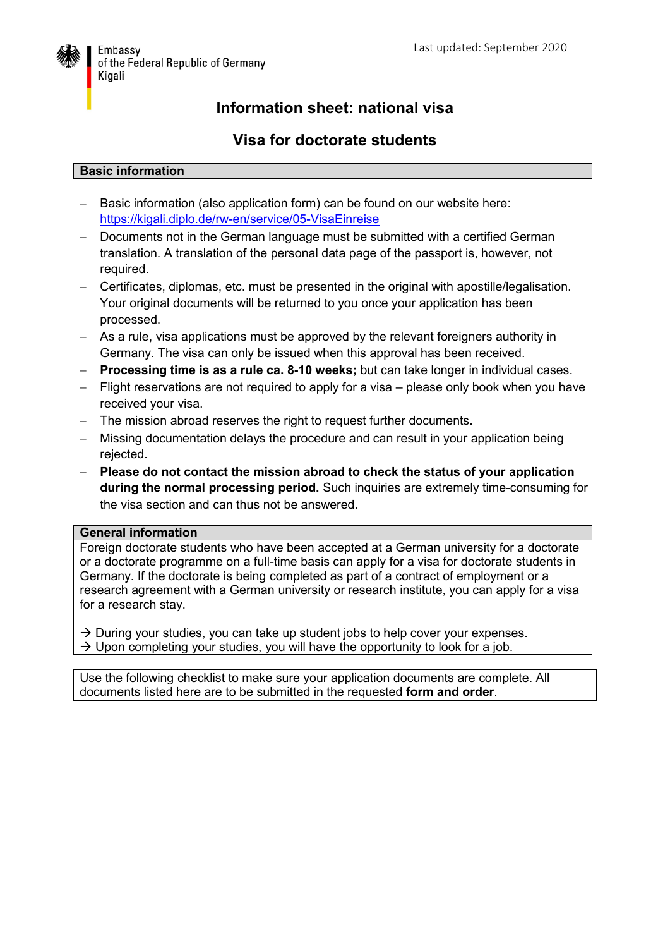

## **Information sheet: national visa**

## **Visa for doctorate students**

## **Basic information**

- Basic information (also application form) can be found on our website here: <https://kigali.diplo.de/rw-en/service/05-VisaEinreise>
- Documents not in the German language must be submitted with a certified German translation. A translation of the personal data page of the passport is, however, not required.
- Certificates, diplomas, etc. must be presented in the original with apostille/legalisation. Your original documents will be returned to you once your application has been processed.
- As a rule, visa applications must be approved by the relevant foreigners authority in Germany. The visa can only be issued when this approval has been received.
- **Processing time is as a rule ca. 8-10 weeks;** but can take longer in individual cases.
- Flight reservations are not required to apply for a visa please only book when you have received your visa.
- The mission abroad reserves the right to request further documents.
- Missing documentation delays the procedure and can result in your application being rejected.
- **Please do not contact the mission abroad to check the status of your application during the normal processing period.** Such inquiries are extremely time-consuming for the visa section and can thus not be answered.

## **General information**

Foreign doctorate students who have been accepted at a German university for a doctorate or a doctorate programme on a full-time basis can apply for a visa for doctorate students in Germany. If the doctorate is being completed as part of a contract of employment or a research agreement with a German university or research institute, you can apply for a visa for a research stay.

 $\rightarrow$  During your studies, you can take up student jobs to help cover your expenses.  $\rightarrow$  Upon completing your studies, you will have the opportunity to look for a job.

Use the following checklist to make sure your application documents are complete. All documents listed here are to be submitted in the requested **form and order**.